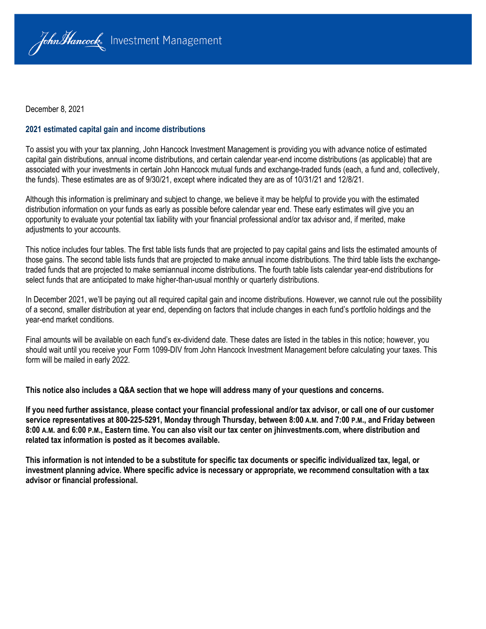

December 8, 2021

#### **2021 estimated capital gain and income distributions**

To assist you with your tax planning, John Hancock Investment Management is providing you with advance notice of estimated capital gain distributions, annual income distributions, and certain calendar year-end income distributions (as applicable) that are associated with your investments in certain John Hancock mutual funds and exchange-traded funds (each, a fund and, collectively, the funds). These estimates are as of 9/30/21, except where indicated they are as of 10/31/21 and 12/8/21.

Although this information is preliminary and subject to change, we believe it may be helpful to provide you with the estimated distribution information on your funds as early as possible before calendar year end. These early estimates will give you an opportunity to evaluate your potential tax liability with your financial professional and/or tax advisor and, if merited, make adjustments to your accounts.

This notice includes four tables. The first table lists funds that are projected to pay capital gains and lists the estimated amounts of those gains. The second table lists funds that are projected to make annual income distributions. The third table lists the exchangetraded funds that are projected to make semiannual income distributions. The fourth table lists calendar year-end distributions for select funds that are anticipated to make higher-than-usual monthly or quarterly distributions.

In December 2021, we'll be paying out all required capital gain and income distributions. However, we cannot rule out the possibility of a second, smaller distribution at year end, depending on factors that include changes in each fund's portfolio holdings and the year-end market conditions.

Final amounts will be available on each fund's ex-dividend date. These dates are listed in the tables in this notice; however, you should wait until you receive your Form 1099-DIV from John Hancock Investment Management before calculating your taxes. This form will be mailed in early 2022.

**This notice also includes a Q&A section that we hope will address many of your questions and concerns.**

**If you need further assistance, please contact your financial professional and/or tax advisor, or call one of our customer service representatives at 800-225-5291, Monday through Thursday, between 8:00 A.M. and 7:00 P.M., and Friday between 8:00 A.M. and 6:00 P.M., Eastern time. You can also visit our tax center on jhinvestments.com, where distribution and related tax information is posted as it becomes available.**

**This information is not intended to be a substitute for specific tax documents or specific individualized tax, legal, or investment planning advice. Where specific advice is necessary or appropriate, we recommend consultation with a tax advisor or financial professional.**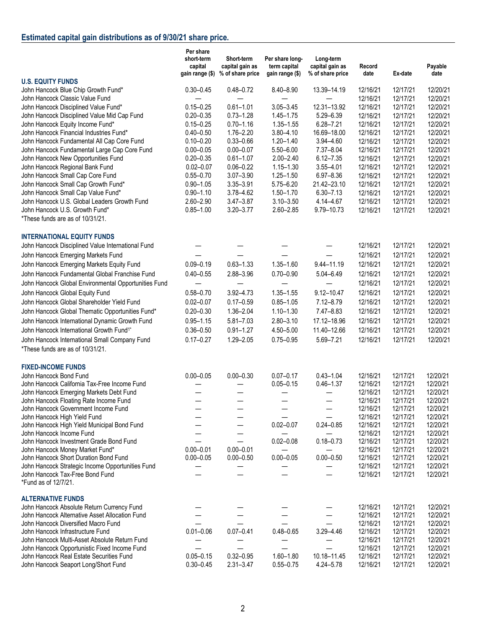# **Estimated capital gain distributions as of 9/30/21 share price.**

|                                                                        | Per share<br>short-term<br>capital<br>gain range (\$) | Short-term<br>capital gain as<br>% of share price | Per share long-<br>term capital<br>gain range (\$) | Long-term<br>capital gain as<br>% of share price | Record<br>date | Ex-date              | Payable<br>date      |
|------------------------------------------------------------------------|-------------------------------------------------------|---------------------------------------------------|----------------------------------------------------|--------------------------------------------------|----------------|----------------------|----------------------|
| <b>U.S. EQUITY FUNDS</b>                                               |                                                       |                                                   |                                                    |                                                  |                |                      |                      |
| John Hancock Blue Chip Growth Fund*                                    | $0.30 - 0.45$                                         | $0.48 - 0.72$                                     | $8.40 - 8.90$                                      | 13.39-14.19                                      | 12/16/21       | 12/17/21             | 12/20/21             |
| John Hancock Classic Value Fund                                        |                                                       |                                                   |                                                    |                                                  | 12/16/21       | 12/17/21             | 12/20/21             |
| John Hancock Disciplined Value Fund*                                   | $0.15 - 0.25$                                         | $0.61 - 1.01$                                     | $3.05 - 3.45$                                      | 12.31-13.92                                      | 12/16/21       | 12/17/21             | 12/20/21             |
| John Hancock Disciplined Value Mid Cap Fund                            | $0.20 - 0.35$                                         | $0.73 - 1.28$                                     | $1.45 - 1.75$                                      | 5.29-6.39                                        | 12/16/21       | 12/17/21             | 12/20/21             |
| John Hancock Equity Income Fund*                                       | $0.15 - 0.25$                                         | $0.70 - 1.16$                                     | $1.35 - 1.55$                                      | $6.28 - 7.21$                                    | 12/16/21       | 12/17/21             | 12/20/21             |
| John Hancock Financial Industries Fund*                                | $0.40 - 0.50$                                         | $1.76 - 2.20$                                     | $3.80 - 4.10$                                      | 16.69-18.00                                      | 12/16/21       | 12/17/21             | 12/20/21             |
| John Hancock Fundamental All Cap Core Fund                             | $0.10 - 0.20$                                         | $0.33 - 0.66$                                     | $1.20 - 1.40$                                      | 3.94-4.60                                        | 12/16/21       | 12/17/21             | 12/20/21             |
| John Hancock Fundamental Large Cap Core Fund                           | $0.00 - 0.05$                                         | $0.00 - 0.07$                                     | 5.50-6.00                                          | 7.37-8.04                                        | 12/16/21       | 12/17/21             | 12/20/21             |
| John Hancock New Opportunities Fund                                    | $0.20 - 0.35$                                         | $0.61 - 1.07$                                     | $2.00 - 2.40$                                      | $6.12 - 7.35$                                    | 12/16/21       | 12/17/21             | 12/20/21             |
| John Hancock Regional Bank Fund                                        | $0.02 - 0.07$                                         | $0.06 - 0.22$                                     | $1.15 - 1.30$                                      | $3.55 - 4.01$                                    | 12/16/21       | 12/17/21             | 12/20/21             |
| John Hancock Small Cap Core Fund                                       | $0.55 - 0.70$                                         | $3.07 - 3.90$                                     | $1.25 - 1.50$                                      | $6.97 - 8.36$                                    |                |                      |                      |
|                                                                        |                                                       |                                                   |                                                    |                                                  | 12/16/21       | 12/17/21             | 12/20/21             |
| John Hancock Small Cap Growth Fund*                                    | $0.90 - 1.05$                                         | 3.35-3.91                                         | 5.75-6.20                                          | 21.42-23.10                                      | 12/16/21       | 12/17/21             | 12/20/21             |
| John Hancock Small Cap Value Fund*                                     | $0.90 - 1.10$                                         | 3.78-4.62                                         | $1.50 - 1.70$                                      | $6.30 - 7.13$                                    | 12/16/21       | 12/17/21             | 12/20/21             |
| John Hancock U.S. Global Leaders Growth Fund                           | 2.60-2.90                                             | $3.47 - 3.87$                                     | $3.10 - 3.50$                                      | 4.14-4.67                                        | 12/16/21       | 12/17/21             | 12/20/21             |
| John Hancock U.S. Growth Fund*                                         | $0.85 - 1.00$                                         | $3.20 - 3.77$                                     | $2.60 - 2.85$                                      | 9.79-10.73                                       | 12/16/21       | 12/17/21             | 12/20/21             |
| *These funds are as of 10/31/21.                                       |                                                       |                                                   |                                                    |                                                  |                |                      |                      |
| <b>INTERNATIONAL EQUITY FUNDS</b>                                      |                                                       |                                                   |                                                    |                                                  |                |                      |                      |
| John Hancock Disciplined Value International Fund                      |                                                       |                                                   |                                                    |                                                  | 12/16/21       | 12/17/21             | 12/20/21             |
| John Hancock Emerging Markets Fund                                     |                                                       |                                                   |                                                    |                                                  | 12/16/21       | 12/17/21             | 12/20/21             |
| John Hancock Emerging Markets Equity Fund                              | $0.09 - 0.19$                                         | $0.63 - 1.33$                                     | $1.35 - 1.60$                                      | $9.44 - 11.19$                                   | 12/16/21       | 12/17/21             | 12/20/21             |
| John Hancock Fundamental Global Franchise Fund                         | $0.40 - 0.55$                                         | 2.88-3.96                                         | $0.70 - 0.90$                                      | $5.04 - 6.49$                                    | 12/16/21       | 12/17/21             | 12/20/21             |
|                                                                        |                                                       |                                                   |                                                    |                                                  | 12/16/21       | 12/17/21             | 12/20/21             |
| John Hancock Global Environmental Opportunities Fund                   |                                                       |                                                   |                                                    |                                                  |                |                      |                      |
| John Hancock Global Equity Fund                                        | $0.58 - 0.70$                                         | $3.92 - 4.73$                                     | $1.35 - 1.55$                                      | 9.12-10.47                                       | 12/16/21       | 12/17/21             | 12/20/21             |
| John Hancock Global Shareholder Yield Fund                             | $0.02 - 0.07$                                         | $0.17 - 0.59$                                     | $0.85 - 1.05$                                      | $7.12 - 8.79$                                    | 12/16/21       | 12/17/21             | 12/20/21             |
| John Hancock Global Thematic Opportunities Fund*                       | $0.20 - 0.30$                                         | $1.36 - 2.04$                                     | $1.10 - 1.30$                                      | $7.47 - 8.83$                                    | 12/16/21       | 12/17/21             | 12/20/21             |
| John Hancock International Dynamic Growth Fund                         | $0.95 - 1.15$                                         | $5.81 - 7.03$                                     | $2.80 - 3.10$                                      | 17.12-18.96                                      | 12/16/21       | 12/17/21             | 12/20/21             |
| John Hancock International Growth Fund <sup>1*</sup>                   | $0.36 - 0.50$                                         | $0.91 - 1.27$                                     | $4.50 - 5.00$                                      | 11.40-12.66                                      | 12/16/21       | 12/17/21             | 12/20/21             |
| John Hancock International Small Company Fund                          | $0.17 - 0.27$                                         | $1.29 - 2.05$                                     | $0.75 - 0.95$                                      | 5.69-7.21                                        | 12/16/21       | 12/17/21             | 12/20/21             |
| *These funds are as of 10/31/21.                                       |                                                       |                                                   |                                                    |                                                  |                |                      |                      |
| <b>FIXED-INCOME FUNDS</b>                                              |                                                       |                                                   |                                                    |                                                  |                |                      |                      |
|                                                                        |                                                       |                                                   |                                                    |                                                  |                |                      |                      |
| John Hancock Bond Fund<br>John Hancock California Tax-Free Income Fund | $0.00 - 0.05$                                         | $0.00 - 0.30$                                     | $0.07 - 0.17$                                      | $0.43 - 1.04$                                    | 12/16/21       | 12/17/21<br>12/17/21 | 12/20/21<br>12/20/21 |
|                                                                        |                                                       |                                                   | $0.05 - 0.15$                                      | $0.46 - 1.37$                                    | 12/16/21       |                      |                      |
| John Hancock Emerging Markets Debt Fund                                |                                                       |                                                   |                                                    |                                                  | 12/16/21       | 12/17/21             | 12/20/21             |
| John Hancock Floating Rate Income Fund                                 |                                                       |                                                   |                                                    |                                                  | 12/16/21       | 12/17/21             | 12/20/21             |
| John Hancock Government Income Fund                                    |                                                       |                                                   |                                                    |                                                  | 12/16/21       | 12/17/21             | 12/20/21             |
| John Hancock High Yield Fund                                           |                                                       |                                                   |                                                    |                                                  | 12/16/21       | 12/17/21             | 12/20/21             |
| John Hancock High Yield Municipal Bond Fund                            |                                                       |                                                   | $0.02 - 0.07$                                      | $0.24 - 0.85$                                    | 12/16/21       | 12/17/21             | 12/20/21             |
| John Hancock Income Fund                                               |                                                       |                                                   |                                                    |                                                  | 12/16/21       | 12/17/21             | 12/20/21             |
| John Hancock Investment Grade Bond Fund                                |                                                       |                                                   | $0.02 - 0.08$                                      | $0.18 - 0.73$                                    | 12/16/21       | 12/17/21             | 12/20/21             |
| John Hancock Money Market Fund*                                        | $0.00 - 0.01$                                         | $0.00 - 0.01$                                     |                                                    |                                                  | 12/16/21       | 12/17/21             | 12/20/21             |
| John Hancock Short Duration Bond Fund                                  | $0.00 - 0.05$                                         | $0.00 - 0.50$                                     | $0.00 - 0.05$                                      | $0.00 - 0.50$                                    | 12/16/21       | 12/17/21             | 12/20/21<br>12/20/21 |
| John Hancock Strategic Income Opportunities Fund                       |                                                       |                                                   |                                                    |                                                  | 12/16/21       | 12/17/21             |                      |
| John Hancock Tax-Free Bond Fund<br>*Fund as of 12/7/21.                |                                                       |                                                   |                                                    |                                                  | 12/16/21       | 12/17/21             | 12/20/21             |
| <b>ALTERNATIVE FUNDS</b>                                               |                                                       |                                                   |                                                    |                                                  |                |                      |                      |
| John Hancock Absolute Return Currency Fund                             |                                                       |                                                   |                                                    |                                                  | 12/16/21       | 12/17/21             | 12/20/21             |
| John Hancock Alternative Asset Allocation Fund                         |                                                       |                                                   |                                                    |                                                  | 12/16/21       | 12/17/21             | 12/20/21             |
| John Hancock Diversified Macro Fund                                    |                                                       |                                                   |                                                    |                                                  | 12/16/21       | 12/17/21             | 12/20/21             |
| John Hancock Infrastructure Fund                                       | $0.01 - 0.06$                                         | $0.07 - 0.41$                                     | $0.48 - 0.65$                                      | 3.29-4.46                                        | 12/16/21       | 12/17/21             | 12/20/21             |
| John Hancock Multi-Asset Absolute Return Fund                          |                                                       |                                                   |                                                    |                                                  | 12/16/21       | 12/17/21             | 12/20/21             |
| John Hancock Opportunistic Fixed Income Fund                           |                                                       |                                                   |                                                    |                                                  | 12/16/21       | 12/17/21             | 12/20/21             |
| John Hancock Real Estate Securities Fund                               | $0.05 - 0.15$                                         | $0.32 - 0.95$                                     | $1.60 - 1.80$                                      | 10.18-11.45                                      | 12/16/21       | 12/17/21             | 12/20/21             |
| John Hancock Seaport Long/Short Fund                                   | $0.30 - 0.45$                                         | $2.31 - 3.47$                                     | $0.55 - 0.75$                                      | 4.24-5.78                                        | 12/16/21       | 12/17/21             | 12/20/21             |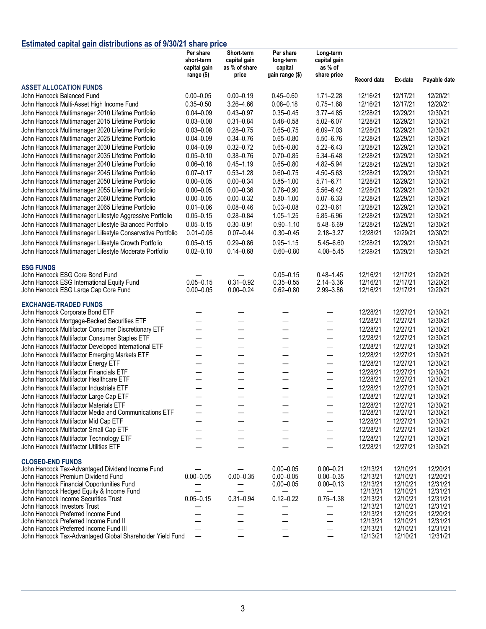## **Estimated capital gain distributions as of 9/30/21 share price**

|                                                                                       | Per share<br>short-term<br>capital gain | Short-term<br>capital gain<br>as % of share | Per share<br>long-term<br>capital | Long-term<br>capital gain<br>as % of |                      |                      |                      |
|---------------------------------------------------------------------------------------|-----------------------------------------|---------------------------------------------|-----------------------------------|--------------------------------------|----------------------|----------------------|----------------------|
|                                                                                       | range (\$)                              | price                                       | gain range (\$)                   | share price                          | Record date          | Ex-date              | Payable date         |
| <b>ASSET ALLOCATION FUNDS</b>                                                         |                                         |                                             |                                   |                                      |                      |                      |                      |
| John Hancock Balanced Fund                                                            | $0.00 - 0.05$                           | $0.00 - 0.19$                               | $0.45 - 0.60$                     | $1.71 - 2.28$                        | 12/16/21             | 12/17/21             | 12/20/21             |
| John Hancock Multi-Asset High Income Fund                                             | $0.35 - 0.50$                           | 3.26-4.66                                   | $0.08 - 0.18$                     | $0.75 - 1.68$                        | 12/16/21             | 12/17/21             | 12/20/21             |
| John Hancock Multimanager 2010 Lifetime Portfolio                                     | $0.04 - 0.09$                           | $0.43 - 0.97$                               | $0.35 - 0.45$                     | $3.77 - 4.85$                        | 12/28/21             | 12/29/21             | 12/30/21             |
| John Hancock Multimanager 2015 Lifetime Portfolio                                     | $0.03 - 0.08$                           | $0.31 - 0.84$                               | $0.48 - 0.58$                     | $5.02 - 6.07$                        | 12/28/21             | 12/29/21             | 12/30/21             |
| John Hancock Multimanager 2020 Lifetime Portfolio                                     | $0.03 - 0.08$                           | $0.28 - 0.75$                               | $0.65 - 0.75$                     | $6.09 - 7.03$                        | 12/28/21             | 12/29/21             | 12/30/21             |
| John Hancock Multimanager 2025 Lifetime Portfolio                                     | $0.04 - 0.09$                           | $0.34 - 0.76$                               | $0.65 - 0.80$                     | $5.50 - 6.76$                        | 12/28/21             | 12/29/21             | 12/30/21             |
| John Hancock Multimanager 2030 Lifetime Portfolio                                     | $0.04 - 0.09$                           | $0.32 - 0.72$                               | $0.65 - 0.80$                     | $5.22 - 6.43$                        | 12/28/21             | 12/29/21             | 12/30/21             |
| John Hancock Multimanager 2035 Lifetime Portfolio                                     | $0.05 - 0.10$                           | $0.38 - 0.76$                               | $0.70 - 0.85$                     | 5.34-6.48                            | 12/28/21             | 12/29/21             | 12/30/21             |
| John Hancock Multimanager 2040 Lifetime Portfolio                                     | $0.06 - 0.16$                           | $0.45 - 1.19$                               | $0.65 - 0.80$                     | 4.82-5.94                            | 12/28/21             | 12/29/21             | 12/30/21             |
| John Hancock Multimanager 2045 Lifetime Portfolio                                     | $0.07 - 0.17$                           | $0.53 - 1.28$                               | $0.60 - 0.75$                     | 4.50 - 5.63                          | 12/28/21             | 12/29/21             | 12/30/21             |
| John Hancock Multimanager 2050 Lifetime Portfolio                                     | $0.00 - 0.05$                           | $0.00 - 0.34$                               | $0.85 - 1.00$                     | $5.71 - 6.71$                        | 12/28/21             | 12/29/21             | 12/30/21             |
| John Hancock Multimanager 2055 Lifetime Portfolio                                     | $0.00 - 0.05$                           | $0.00 - 0.36$                               | $0.78 - 0.90$                     | 5.56-6.42                            | 12/28/21             | 12/29/21             | 12/30/21             |
| John Hancock Multimanager 2060 Lifetime Portfolio                                     | $0.00 - 0.05$                           | $0.00 - 0.32$                               | $0.80 - 1.00$                     | $5.07 - 6.33$                        | 12/28/21             | 12/29/21             | 12/30/21             |
| John Hancock Multimanager 2065 Lifetime Portfolio                                     | $0.01 - 0.06$                           | $0.08 - 0.46$                               | $0.03 - 0.08$                     | $0.23 - 0.61$                        | 12/28/21             | 12/29/21             | 12/30/21             |
| John Hancock Multimanager Lifestyle Aggressive Portfolio                              | $0.05 - 0.15$                           | $0.28 - 0.84$                               | $1.05 - 1.25$                     | 5.85-6.96                            | 12/28/21             | 12/29/21             | 12/30/21             |
| John Hancock Multimanager Lifestyle Balanced Portfolio                                | $0.05 - 0.15$                           | $0.30 - 0.91$                               | $0.90 - 1.10$                     | 5.48-6.69                            | 12/28/21             | 12/29/21             | 12/30/21             |
| John Hancock Multimanager Lifestyle Conservative Portfolio                            | $0.01 - 0.06$                           | $0.07 - 0.44$                               | $0.30 - 0.45$                     | $2.18 - 3.27$                        | 12/28/21             | 12/29/21             | 12/30/21             |
| John Hancock Multimanager Lifestyle Growth Portfolio                                  | $0.05 - 0.15$                           | $0.29 - 0.86$                               | $0.95 - 1.15$                     | $5.45 - 6.60$                        | 12/28/21             | 12/29/21             | 12/30/21             |
| John Hancock Multimanager Lifestyle Moderate Portfolio                                | $0.02 - 0.10$                           | $0.14 - 0.68$                               | $0.60 - 0.80$                     | 4.08-5.45                            | 12/28/21             | 12/29/21             | 12/30/21             |
| <b>ESG FUNDS</b>                                                                      |                                         |                                             |                                   |                                      |                      |                      |                      |
| John Hancock ESG Core Bond Fund                                                       |                                         |                                             | $0.05 - 0.15$                     | $0.48 - 1.45$                        | 12/16/21             | 12/17/21             | 12/20/21             |
| John Hancock ESG International Equity Fund                                            | $0.05 - 0.15$                           | $0.31 - 0.92$                               | $0.35 - 0.55$                     | $2.14 - 3.36$                        | 12/16/21             | 12/17/21             | 12/20/21             |
| John Hancock ESG Large Cap Core Fund                                                  | $0.00 - 0.05$                           | $0.00 - 0.24$                               | $0.62 - 0.80$                     | 2.99-3.86                            | 12/16/21             | 12/17/21             | 12/20/21             |
| <b>EXCHANGE-TRADED FUNDS</b>                                                          |                                         |                                             |                                   |                                      |                      |                      |                      |
| John Hancock Corporate Bond ETF                                                       |                                         |                                             |                                   |                                      | 12/28/21             | 12/27/21             | 12/30/21             |
| John Hancock Mortgage-Backed Securities ETF                                           |                                         |                                             |                                   | $\overline{\phantom{0}}$             | 12/28/21             | 12/27/21             | 12/30/21             |
| John Hancock Multifactor Consumer Discretionary ETF                                   |                                         | —                                           |                                   | —                                    | 12/28/21             | 12/27/21             | 12/30/21             |
| John Hancock Multifactor Consumer Staples ETF                                         |                                         | —                                           |                                   | —                                    | 12/28/21             | 12/27/21             | 12/30/21             |
| John Hancock Multifactor Developed International ETF                                  | —                                       | $\overline{\phantom{m}}$                    | $\overline{\phantom{m}}$          | $\overline{\phantom{0}}$             | 12/28/21             | 12/27/21             | 12/30/21             |
| John Hancock Multifactor Emerging Markets ETF                                         | —                                       | $\qquad \qquad$                             | —                                 | $\overline{\phantom{0}}$             | 12/28/21             | 12/27/21             | 12/30/21             |
| John Hancock Multifactor Energy ETF                                                   |                                         | $\overline{\phantom{0}}$                    | —                                 | $\overline{\phantom{0}}$             | 12/28/21             | 12/27/21             | 12/30/21             |
| John Hancock Multifactor Financials ETF                                               |                                         | $\overline{\phantom{0}}$                    |                                   | $\overline{\phantom{0}}$             | 12/28/21             | 12/27/21             | 12/30/21             |
| John Hancock Multifactor Healthcare ETF                                               | —                                       | —                                           | —                                 | —                                    | 12/28/21             | 12/27/21             | 12/30/21             |
| John Hancock Multifactor Industrials ETF                                              |                                         |                                             |                                   |                                      | 12/28/21             | 12/27/21             | 12/30/21             |
| John Hancock Multifactor Large Cap ETF                                                |                                         | —<br>——                                     | —                                 | $\overline{\phantom{0}}$             | 12/28/21             | 12/27/21             | 12/30/21             |
| John Hancock Multifactor Materials ETF                                                |                                         |                                             |                                   |                                      | 12/28/21             | 12/27/21             | 12/30/21             |
| John Hancock Multifactor Media and Communications ETF                                 |                                         |                                             |                                   | —                                    | 12/28/21             | 12/27/21             | 12/30/21             |
| John Hancock Multifactor Mid Cap ETF                                                  |                                         |                                             |                                   |                                      | 12/28/21             | 12/27/21             | 12/30/21             |
| John Hancock Multifactor Small Cap ETF                                                |                                         |                                             |                                   |                                      | 12/28/21             | 12/27/21             | 12/30/21             |
| John Hancock Multifactor Technology ETF                                               |                                         |                                             |                                   |                                      | 12/28/21             | 12/27/21             | 12/30/21             |
| John Hancock Multifactor Utilities ETF                                                |                                         |                                             |                                   |                                      | 12/28/21             | 12/27/21             | 12/30/21             |
| <b>CLOSED-END FUNDS</b>                                                               |                                         |                                             |                                   |                                      |                      |                      |                      |
| John Hancock Tax-Advantaged Dividend Income Fund                                      |                                         |                                             | $0.00 - 0.05$                     | $0.00 - 0.21$                        | 12/13/21             | 12/10/21             | 12/20/21             |
| John Hancock Premium Dividend Fund                                                    | $0.00 - 0.05$                           | $0.00 - 0.35$                               | $0.00 - 0.05$                     | $0.00 - 0.35$                        | 12/13/21             | 12/10/21             | 12/20/21             |
| John Hancock Financial Opportunities Fund<br>John Hancock Hedged Equity & Income Fund |                                         |                                             | $0.00 - 0.05$                     | $0.00 - 0.13$                        | 12/13/21<br>12/13/21 | 12/10/21<br>12/10/21 | 12/31/21<br>12/31/21 |
| John Hancock Income Securities Trust                                                  | $0.05 - 0.15$                           | $0.31 - 0.94$                               | $0.12 - 0.22$                     | $0.75 - 1.38$                        | 12/13/21             | 12/10/21             | 12/31/21             |
| John Hancock Investors Trust                                                          |                                         |                                             |                                   |                                      | 12/13/21             | 12/10/21             | 12/31/21             |
| John Hancock Preferred Income Fund                                                    |                                         |                                             |                                   | —                                    | 12/13/21             | 12/10/21             | 12/20/21             |
| John Hancock Preferred Income Fund II                                                 |                                         |                                             |                                   | —                                    | 12/13/21             | 12/10/21             | 12/31/21             |
| John Hancock Preferred Income Fund III                                                |                                         |                                             |                                   | $\overline{\phantom{0}}$             | 12/13/21             | 12/10/21             | 12/31/21             |
| John Hancock Tax-Advantaged Global Shareholder Yield Fund                             |                                         |                                             |                                   | $\qquad \qquad -$                    | 12/13/21             | 12/10/21             | 12/31/21             |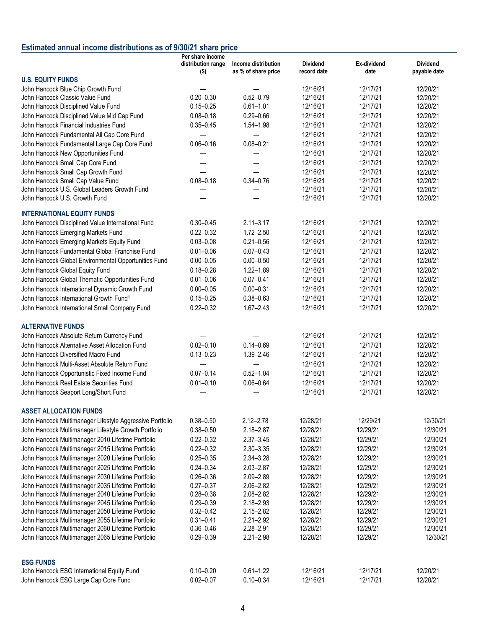## **Estimated annual income distributions as of 9/30/21 share price**

|                                                                                                        | Per share income<br>distribution range | Income distribution            | <b>Dividend</b>      | Ex-dividend          | <b>Dividend</b>      |
|--------------------------------------------------------------------------------------------------------|----------------------------------------|--------------------------------|----------------------|----------------------|----------------------|
| <b>U.S. EQUITY FUNDS</b>                                                                               | \$)                                    | as % of share price            | record date          | date                 | payable date         |
| John Hancock Blue Chip Growth Fund                                                                     |                                        |                                | 12/16/21             | 12/17/21             | 12/20/21             |
| John Hancock Classic Value Fund                                                                        | $0.20 - 0.30$                          | $0.52 - 0.79$                  | 12/16/21             | 12/17/21             | 12/20/21             |
| John Hancock Disciplined Value Fund                                                                    | $0.15 - 0.25$                          | $0.61 - 1.01$                  | 12/16/21             | 12/17/21             | 12/20/21             |
| John Hancock Disciplined Value Mid Cap Fund                                                            | $0.08 - 0.18$                          | $0.29 - 0.66$                  | 12/16/21             | 12/17/21             | 12/20/21             |
| John Hancock Financial Industries Fund                                                                 | $0.35 - 0.45$                          | $1.54 - 1.98$                  | 12/16/21             | 12/17/21             | 12/20/21             |
| John Hancock Fundamental All Cap Core Fund                                                             |                                        |                                | 12/16/21             | 12/17/21             | 12/20/21             |
| John Hancock Fundamental Large Cap Core Fund                                                           | $0.06 - 0.16$                          | $0.08 - 0.21$                  | 12/16/21             | 12/17/21             | 12/20/21             |
| John Hancock New Opportunities Fund                                                                    |                                        |                                | 12/16/21             | 12/17/21             | 12/20/21             |
| John Hancock Small Cap Core Fund                                                                       |                                        |                                | 12/16/21             | 12/17/21             | 12/20/21             |
| John Hancock Small Cap Growth Fund                                                                     |                                        |                                | 12/16/21             | 12/17/21             | 12/20/21             |
| John Hancock Small Cap Value Fund                                                                      | $0.08 - 0.18$                          | $0.34 - 0.76$                  | 12/16/21             | 12/17/21             | 12/20/21             |
| John Hancock U.S. Global Leaders Growth Fund                                                           |                                        |                                | 12/16/21             | 12/17/21             | 12/20/21             |
| John Hancock U.S. Growth Fund                                                                          |                                        |                                | 12/16/21             | 12/17/21             | 12/20/21             |
|                                                                                                        |                                        |                                |                      |                      |                      |
| <b>INTERNATIONAL EQUITY FUNDS</b>                                                                      |                                        | $2.11 - 3.17$                  | 12/16/21             | 12/17/21             | 12/20/21             |
| John Hancock Disciplined Value International Fund                                                      | $0.30 - 0.45$                          |                                |                      |                      | 12/20/21             |
| John Hancock Emerging Markets Fund                                                                     | $0.22 - 0.32$                          | $1.72 - 2.50$                  | 12/16/21<br>12/16/21 | 12/17/21             |                      |
| John Hancock Emerging Markets Equity Fund                                                              | $0.03 - 0.08$                          | $0.21 - 0.56$                  | 12/16/21             | 12/17/21             | 12/20/21             |
| John Hancock Fundamental Global Franchise Fund                                                         | $0.01 - 0.06$                          | $0.07 - 0.43$                  |                      | 12/17/21             | 12/20/21             |
| John Hancock Global Environmental Opportunities Fund                                                   | $0.00 - 0.05$                          | $0.00 - 0.50$                  | 12/16/21             | 12/17/21             | 12/20/21             |
| John Hancock Global Equity Fund                                                                        | $0.18 - 0.28$                          | $1.22 - 1.89$                  | 12/16/21             | 12/17/21             | 12/20/21             |
| John Hancock Global Thematic Opportunities Fund                                                        | $0.01 - 0.06$                          | $0.07 - 0.41$                  | 12/16/21             | 12/17/21             | 12/20/21             |
| John Hancock International Dynamic Growth Fund                                                         | $0.00 - 0.05$                          | $0.00 - 0.31$                  | 12/16/21             | 12/17/21             | 12/20/21             |
| John Hancock International Growth Fund <sup>1</sup>                                                    | $0.15 - 0.25$                          | $0.38 - 0.63$                  | 12/16/21             | 12/17/21             | 12/20/21             |
| John Hancock International Small Company Fund                                                          | $0.22 - 0.32$                          | $1.67 - 2.43$                  | 12/16/21             | 12/17/21             | 12/20/21             |
| <b>ALTERNATIVE FUNDS</b>                                                                               |                                        |                                |                      |                      |                      |
| John Hancock Absolute Return Currency Fund                                                             |                                        |                                | 12/16/21             | 12/17/21             | 12/20/21             |
| John Hancock Alternative Asset Allocation Fund                                                         | $0.02 - 0.10$                          | $0.14 - 0.69$                  | 12/16/21             | 12/17/21             | 12/20/21             |
| John Hancock Diversified Macro Fund                                                                    | $0.13 - 0.23$                          | $1.39 - 2.46$                  | 12/16/21             | 12/17/21             | 12/20/21             |
| John Hancock Multi-Asset Absolute Return Fund                                                          |                                        |                                | 12/16/21             | 12/17/21             | 12/20/21             |
| John Hancock Opportunistic Fixed Income Fund                                                           | $0.07 - 0.14$                          | $0.52 - 1.04$                  | 12/16/21             | 12/17/21             | 12/20/21             |
| John Hancock Real Estate Securities Fund                                                               | $0.01 - 0.10$                          | $0.06 - 0.64$                  | 12/16/21             | 12/17/21             | 12/20/21             |
| John Hancock Seaport Long/Short Fund                                                                   |                                        |                                | 12/16/21             | 12/17/21             | 12/20/21             |
|                                                                                                        |                                        |                                |                      |                      |                      |
| <b>ASSET ALLOCATION FUNDS</b>                                                                          |                                        |                                |                      |                      |                      |
| John Hancock Multimanager Lifestyle Aggressive Portfolio                                               | $0.38 - 0.50$                          | $2.12 - 2.78$                  | 12/28/21             | 12/29/21             | 12/30/21             |
| John Hancock Multimanager Lifestyle Growth Portfolio                                                   | $0.38 - 0.50$                          | $2.18 - 2.87$                  | 12/28/21             | 12/29/21             | 12/30/21             |
| John Hancock Multimanager 2010 Lifetime Portfolio                                                      | $0.22 - 0.32$                          | $2.37 - 3.45$                  | 12/28/21             | 12/29/21             | 12/30/21             |
| John Hancock Multimanager 2015 Lifetime Portfolio                                                      | $0.22 - 0.32$                          | $2.30 - 3.35$                  | 12/28/21             | 12/29/21             | 12/30/21             |
| John Hancock Multimanager 2020 Lifetime Portfolio                                                      | $0.25 - 0.35$                          | $2.34 - 3.28$                  | 12/28/21             | 12/29/21             | 12/30/21             |
| John Hancock Multimanager 2025 Lifetime Portfolio                                                      | $0.24 - 0.34$                          | $2.03 - 2.87$                  | 12/28/21             | 12/29/21             | 12/30/21             |
| John Hancock Multimanager 2030 Lifetime Portfolio                                                      | $0.26 - 0.36$                          | $2.09 - 2.89$                  | 12/28/21             | 12/29/21             | 12/30/21             |
| John Hancock Multimanager 2035 Lifetime Portfolio                                                      | $0.27 - 0.37$                          | $2.06 - 2.82$                  | 12/28/21             | 12/29/21             | 12/30/21             |
| John Hancock Multimanager 2040 Lifetime Portfolio<br>John Hancock Multimanager 2045 Lifetime Portfolio | $0.28 - 0.38$<br>$0.29 - 0.39$         | 2.08-2.82                      | 12/28/21             | 12/29/21<br>12/29/21 | 12/30/21<br>12/30/21 |
| John Hancock Multimanager 2050 Lifetime Portfolio                                                      | $0.32 - 0.42$                          | $2.18 - 2.93$<br>$2.15 - 2.82$ | 12/28/21<br>12/28/21 | 12/29/21             | 12/30/21             |
| John Hancock Multimanager 2055 Lifetime Portfolio                                                      | $0.31 - 0.41$                          | $2.21 - 2.92$                  | 12/28/21             | 12/29/21             | 12/30/21             |
| John Hancock Multimanager 2060 Lifetime Portfolio                                                      | $0.36 - 0.46$                          | $2.28 - 2.91$                  | 12/28/21             | 12/29/21             | 12/30/21             |
| John Hancock Multimanager 2065 Lifetime Portfolio                                                      | $0.29 - 0.39$                          | $2.21 - 2.98$                  | 12/28/21             | 12/29/21             | 12/30/21             |
|                                                                                                        |                                        |                                |                      |                      |                      |
| <b>ESG FUNDS</b>                                                                                       |                                        |                                |                      |                      |                      |
| John Hancock ESG International Equity Fund                                                             | $0.10 - 0.20$                          | $0.61 - 1.22$                  | 12/16/21             | 12/17/21             | 12/20/21             |
| John Hancock ESG Large Cap Core Fund                                                                   | $0.02 - 0.07$                          | $0.10 - 0.34$                  | 12/16/21             | 12/17/21             | 12/20/21             |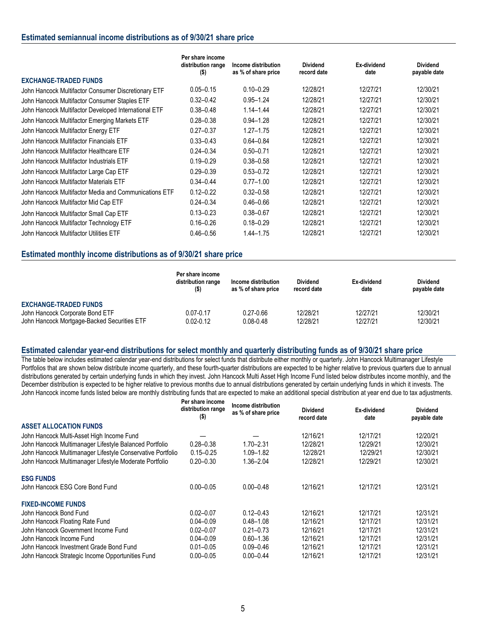#### **Estimated semiannual income distributions as of 9/30/21 share price**

|                                                       | Per share income<br>distribution range<br>$($ \$) | Income distribution<br>as % of share price | <b>Dividend</b><br>record date | Ex-dividend<br>date | <b>Dividend</b><br>payable date |
|-------------------------------------------------------|---------------------------------------------------|--------------------------------------------|--------------------------------|---------------------|---------------------------------|
| <b>EXCHANGE-TRADED FUNDS</b>                          |                                                   |                                            |                                |                     |                                 |
| John Hancock Multifactor Consumer Discretionary ETF   | $0.05 - 0.15$                                     | $0.10 - 0.29$                              | 12/28/21                       | 12/27/21            | 12/30/21                        |
| John Hancock Multifactor Consumer Staples ETF         | $0.32 - 0.42$                                     | $0.95 - 1.24$                              | 12/28/21                       | 12/27/21            | 12/30/21                        |
| John Hancock Multifactor Developed International ETF  | $0.38 - 0.48$                                     | $1.14 - 1.44$                              | 12/28/21                       | 12/27/21            | 12/30/21                        |
| John Hancock Multifactor Emerging Markets ETF         | $0.28 - 0.38$                                     | $0.94 - 1.28$                              | 12/28/21                       | 12/27/21            | 12/30/21                        |
| John Hancock Multifactor Energy ETF                   | $0.27 - 0.37$                                     | $1.27 - 1.75$                              | 12/28/21                       | 12/27/21            | 12/30/21                        |
| John Hancock Multifactor Financials ETF               | $0.33 - 0.43$                                     | $0.64 - 0.84$                              | 12/28/21                       | 12/27/21            | 12/30/21                        |
| John Hancock Multifactor Healthcare ETF               | $0.24 - 0.34$                                     | $0.50 - 0.71$                              | 12/28/21                       | 12/27/21            | 12/30/21                        |
| John Hancock Multifactor Industrials ETF              | $0.19 - 0.29$                                     | $0.38 - 0.58$                              | 12/28/21                       | 12/27/21            | 12/30/21                        |
| John Hancock Multifactor Large Cap ETF                | $0.29 - 0.39$                                     | $0.53 - 0.72$                              | 12/28/21                       | 12/27/21            | 12/30/21                        |
| John Hancock Multifactor Materials ETF                | $0.34 - 0.44$                                     | $0.77 - 1.00$                              | 12/28/21                       | 12/27/21            | 12/30/21                        |
| John Hancock Multifactor Media and Communications ETF | $0.12 - 0.22$                                     | $0.32 - 0.58$                              | 12/28/21                       | 12/27/21            | 12/30/21                        |
| John Hancock Multifactor Mid Cap ETF                  | $0.24 - 0.34$                                     | $0.46 - 0.66$                              | 12/28/21                       | 12/27/21            | 12/30/21                        |
| John Hancock Multifactor Small Cap ETF                | $0.13 - 0.23$                                     | $0.38 - 0.67$                              | 12/28/21                       | 12/27/21            | 12/30/21                        |
| John Hancock Multifactor Technology ETF               | $0.16 - 0.26$                                     | $0.18 - 0.29$                              | 12/28/21                       | 12/27/21            | 12/30/21                        |
| John Hancock Multifactor Utilities ETF                | $0.46 - 0.56$                                     | $1.44 - 1.75$                              | 12/28/21                       | 12/27/21            | 12/30/21                        |

#### **Estimated monthly income distributions as of 9/30/21 share price**

|                                                                                                                | Per share income<br>distribution range<br>$($ \$) | Income distribution<br>as % of share price | <b>Dividend</b><br>record date | Ex-dividend<br>date  | <b>Dividend</b><br>payable date |
|----------------------------------------------------------------------------------------------------------------|---------------------------------------------------|--------------------------------------------|--------------------------------|----------------------|---------------------------------|
| <b>EXCHANGE-TRADED FUNDS</b><br>John Hancock Corporate Bond ETF<br>John Hancock Mortgage-Backed Securities ETF | $0.07 - 0.17$<br>$0.02 - 0.12$                    | $0.27 - 0.66$<br>$0.08 - 0.48$             | 12/28/21<br>12/28/21           | 12/27/21<br>12/27/21 | 12/30/21<br>12/30/21            |

#### **Estimated calendar year-end distributions for select monthly and quarterly distributing funds as of 9/30/21 share price**

The table below includes estimated calendar year-end distributions for select funds that distribute either monthly or quarterly. John Hancock Multimanager Lifestyle Portfolios that are shown below distribute income quarterly, and these fourth-quarter distributions are expected to be higher relative to previous quarters due to annual distributions generated by certain underlying funds in which they invest. John Hancock Multi Asset High Income Fund listed below distributes income monthly, and the December distribution is expected to be higher relative to previous months due to annual distributions generated by certain underlying funds in which it invests. The John Hancock income funds listed below are monthly distributing funds that are expected to make an additional special distribution at year end due to tax adjustments.

|                                                            | Per share income<br>distribution range<br>$($ \$) | Income distribution<br>as % of share price | <b>Dividend</b><br>record date | Ex-dividend<br>date | <b>Dividend</b><br>payable date |
|------------------------------------------------------------|---------------------------------------------------|--------------------------------------------|--------------------------------|---------------------|---------------------------------|
| <b>ASSET ALLOCATION FUNDS</b>                              |                                                   |                                            |                                |                     |                                 |
| John Hancock Multi-Asset High Income Fund                  |                                                   |                                            | 12/16/21                       | 12/17/21            | 12/20/21                        |
| John Hancock Multimanager Lifestyle Balanced Portfolio     | $0.28 - 0.38$                                     | $1.70 - 2.31$                              | 12/28/21                       | 12/29/21            | 12/30/21                        |
| John Hancock Multimanager Lifestyle Conservative Portfolio | $0.15 - 0.25$                                     | $1.09 - 1.82$                              | 12/28/21                       | 12/29/21            | 12/30/21                        |
| John Hancock Multimanager Lifestyle Moderate Portfolio     | $0.20 - 0.30$                                     | 1.36-2.04                                  | 12/28/21                       | 12/29/21            | 12/30/21                        |
| <b>ESG FUNDS</b>                                           |                                                   |                                            |                                |                     |                                 |
| John Hancock ESG Core Bond Fund                            | $0.00 - 0.05$                                     | $0.00 - 0.48$                              | 12/16/21                       | 12/17/21            | 12/31/21                        |
| <b>FIXED-INCOME FUNDS</b>                                  |                                                   |                                            |                                |                     |                                 |
| John Hancock Bond Fund                                     | $0.02 - 0.07$                                     | $0.12 - 0.43$                              | 12/16/21                       | 12/17/21            | 12/31/21                        |
| John Hancock Floating Rate Fund                            | $0.04 - 0.09$                                     | $0.48 - 1.08$                              | 12/16/21                       | 12/17/21            | 12/31/21                        |
| John Hancock Government Income Fund                        | $0.02 - 0.07$                                     | $0.21 - 0.73$                              | 12/16/21                       | 12/17/21            | 12/31/21                        |
| John Hancock Income Fund                                   | $0.04 - 0.09$                                     | $0.60 - 1.36$                              | 12/16/21                       | 12/17/21            | 12/31/21                        |
| John Hancock Investment Grade Bond Fund                    | $0.01 - 0.05$                                     | $0.09 - 0.46$                              | 12/16/21                       | 12/17/21            | 12/31/21                        |
| John Hancock Strategic Income Opportunities Fund           | $0.00 - 0.05$                                     | $0.00 - 0.44$                              | 12/16/21                       | 12/17/21            | 12/31/21                        |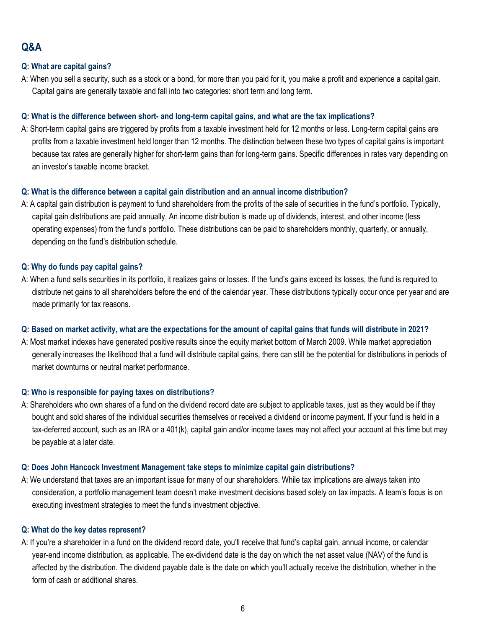# **Q&A**

## **Q: What are capital gains?**

A: When you sell a security, such as a stock or a bond, for more than you paid for it, you make a profit and experience a capital gain. Capital gains are generally taxable and fall into two categories: short term and long term.

## **Q: What is the difference between short- and long-term capital gains, and what are the tax implications?**

A: Short-term capital gains are triggered by profits from a taxable investment held for 12 months or less. Long-term capital gains are profits from a taxable investment held longer than 12 months. The distinction between these two types of capital gains is important because tax rates are generally higher for short-term gains than for long-term gains. Specific differences in rates vary depending on an investor's taxable income bracket.

## **Q: What is the difference between a capital gain distribution and an annual income distribution?**

A: A capital gain distribution is payment to fund shareholders from the profits of the sale of securities in the fund's portfolio. Typically, capital gain distributions are paid annually. An income distribution is made up of dividends, interest, and other income (less operating expenses) from the fund's portfolio. These distributions can be paid to shareholders monthly, quarterly, or annually, depending on the fund's distribution schedule.

## **Q: Why do funds pay capital gains?**

A: When a fund sells securities in its portfolio, it realizes gains or losses. If the fund's gains exceed its losses, the fund is required to distribute net gains to all shareholders before the end of the calendar year. These distributions typically occur once per year and are made primarily for tax reasons.

#### **Q: Based on market activity, what are the expectations for the amount of capital gains that funds will distribute in 2021?**

A: Most market indexes have generated positive results since the equity market bottom of March 2009. While market appreciation generally increases the likelihood that a fund will distribute capital gains, there can still be the potential for distributions in periods of market downturns or neutral market performance.

#### **Q: Who is responsible for paying taxes on distributions?**

A: Shareholders who own shares of a fund on the dividend record date are subject to applicable taxes, just as they would be if they bought and sold shares of the individual securities themselves or received a dividend or income payment. If your fund is held in a tax-deferred account, such as an IRA or a 401(k), capital gain and/or income taxes may not affect your account at this time but may be payable at a later date.

#### **Q: Does John Hancock Investment Management take steps to minimize capital gain distributions?**

A: We understand that taxes are an important issue for many of our shareholders. While tax implications are always taken into consideration, a portfolio management team doesn't make investment decisions based solely on tax impacts. A team's focus is on executing investment strategies to meet the fund's investment objective.

#### **Q: What do the key dates represent?**

A: If you're a shareholder in a fund on the dividend record date, you'll receive that fund's capital gain, annual income, or calendar year-end income distribution, as applicable. The ex-dividend date is the day on which the net asset value (NAV) of the fund is affected by the distribution. The dividend payable date is the date on which you'll actually receive the distribution, whether in the form of cash or additional shares.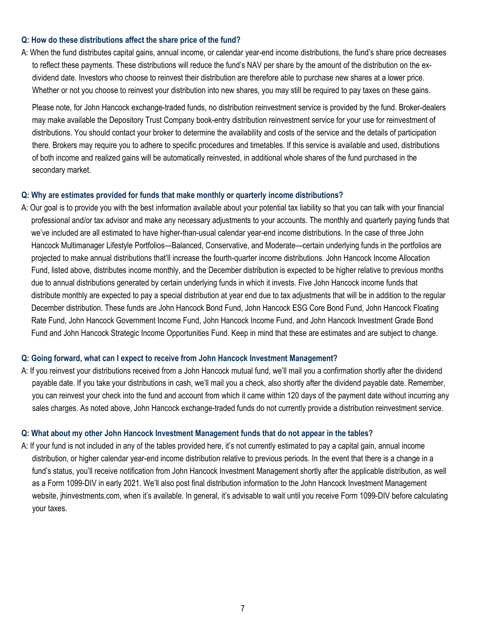#### **Q: How do these distributions affect the share price of the fund?**

A: When the fund distributes capital gains, annual income, or calendar year-end income distributions, the fund's share price decreases to reflect these payments. These distributions will reduce the fund's NAV per share by the amount of the distribution on the exdividend date. Investors who choose to reinvest their distribution are therefore able to purchase new shares at a lower price. Whether or not you choose to reinvest your distribution into new shares, you may still be required to pay taxes on these gains.

Please note, for John Hancock exchange-traded funds, no distribution reinvestment service is provided by the fund. Broker-dealers may make available the Depository Trust Company book-entry distribution reinvestment service for your use for reinvestment of distributions. You should contact your broker to determine the availability and costs of the service and the details of participation there. Brokers may require you to adhere to specific procedures and timetables. If this service is available and used, distributions of both income and realized gains will be automatically reinvested, in additional whole shares of the fund purchased in the secondary market.

#### **Q: Why are estimates provided for funds that make monthly or quarterly income distributions?**

A: Our goal is to provide you with the best information available about your potential tax liability so that you can talk with your financial professional and/or tax advisor and make any necessary adjustments to your accounts. The monthly and quarterly paying funds that we've included are all estimated to have higher-than-usual calendar year-end income distributions. In the case of three John Hancock Multimanager Lifestyle Portfolios—Balanced, Conservative, and Moderate—certain underlying funds in the portfolios are projected to make annual distributions that'll increase the fourth-quarter income distributions. John Hancock Income Allocation Fund, listed above, distributes income monthly, and the December distribution is expected to be higher relative to previous months due to annual distributions generated by certain underlying funds in which it invests. Five John Hancock income funds that distribute monthly are expected to pay a special distribution at year end due to tax adjustments that will be in addition to the regular December distribution. These funds are John Hancock Bond Fund, John Hancock ESG Core Bond Fund, John Hancock Floating Rate Fund, John Hancock Government Income Fund, John Hancock Income Fund, and John Hancock Investment Grade Bond Fund and John Hancock Strategic Income Opportunities Fund. Keep in mind that these are estimates and are subject to change.

#### **Q: Going forward, what can I expect to receive from John Hancock Investment Management?**

A: If you reinvest your distributions received from a John Hancock mutual fund, we'll mail you a confirmation shortly after the dividend payable date. If you take your distributions in cash, we'll mail you a check, also shortly after the dividend payable date. Remember, you can reinvest your check into the fund and account from which it came within 120 days of the payment date without incurring any sales charges. As noted above, John Hancock exchange-traded funds do not currently provide a distribution reinvestment service.

#### **Q: What about my other John Hancock Investment Management funds that do not appear in the tables?**

A: If your fund is not included in any of the tables provided here, it's not currently estimated to pay a capital gain, annual income distribution, or higher calendar year-end income distribution relative to previous periods. In the event that there is a change in a fund's status, you'll receive notification from John Hancock Investment Management shortly after the applicable distribution, as well as a Form 1099-DIV in early 2021. We'll also post final distribution information to the John Hancock Investment Management website, jhinvestments.com, when it's available. In general, it's advisable to wait until you receive Form 1099-DIV before calculating your taxes.